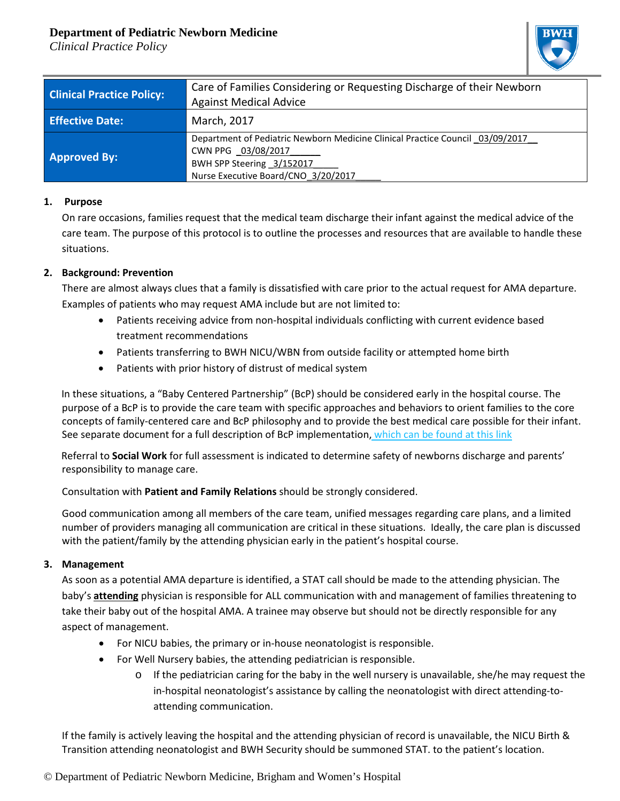# **Department of Pediatric Newborn Medicine**

*Clinical Practice Policy*



| <b>Clinical Practice Policy:</b> | Care of Families Considering or Requesting Discharge of their Newborn<br><b>Against Medical Advice</b>                                                                  |
|----------------------------------|-------------------------------------------------------------------------------------------------------------------------------------------------------------------------|
| <b>Effective Date:</b>           | March, 2017                                                                                                                                                             |
| <b>Approved By:</b>              | Department of Pediatric Newborn Medicine Clinical Practice Council 03/09/2017<br>CWN PPG 03/08/2017<br>BWH SPP Steering 3/152017<br>Nurse Executive Board/CNO 3/20/2017 |

#### **1. Purpose**

On rare occasions, families request that the medical team discharge their infant against the medical advice of the care team. The purpose of this protocol is to outline the processes and resources that are available to handle these situations.

#### **2. Background: Prevention**

There are almost always clues that a family is dissatisfied with care prior to the actual request for AMA departure. Examples of patients who may request AMA include but are not limited to:

- Patients receiving advice from non-hospital individuals conflicting with current evidence based treatment recommendations
- Patients transferring to BWH NICU/WBN from outside facility or attempted home birth
- Patients with prior history of distrust of medical system

 In these situations, a "Baby Centered Partnership" (BcP) should be considered early in the hospital course. The purpose of a BcP is to provide the care team with specific approaches and behaviors to orient families to the core concepts of family-centered care and BcP philosophy and to provide the best medical care possible for their infant. See separate document for a full description of BcP implementation, [which can be found at this link](https://www.bwhpikenotes.org/Departments_Centers/NewbornMedicine_NICU/documents/BCP,%20Final,%20103117.pdf)

 Referral to **Social Work** for full assessment is indicated to determine safety of newborns discharge and parents' responsibility to manage care.

Consultation with **Patient and Family Relations** should be strongly considered.

Good communication among all members of the care team, unified messages regarding care plans, and a limited number of providers managing all communication are critical in these situations. Ideally, the care plan is discussed with the patient/family by the attending physician early in the patient's hospital course.

#### **3. Management**

As soon as a potential AMA departure is identified, a STAT call should be made to the attending physician. The baby's **attending** physician is responsible for ALL communication with and management of families threatening to take their baby out of the hospital AMA. A trainee may observe but should not be directly responsible for any aspect of management.

- For NICU babies, the primary or in-house neonatologist is responsible.
- For Well Nursery babies, the attending pediatrician is responsible.
	- $\circ$  If the pediatrician caring for the baby in the well nursery is unavailable, she/he may request the in-hospital neonatologist's assistance by calling the neonatologist with direct attending-toattending communication.

If the family is actively leaving the hospital and the attending physician of record is unavailable, the NICU Birth & Transition attending neonatologist and BWH Security should be summoned STAT. to the patient's location.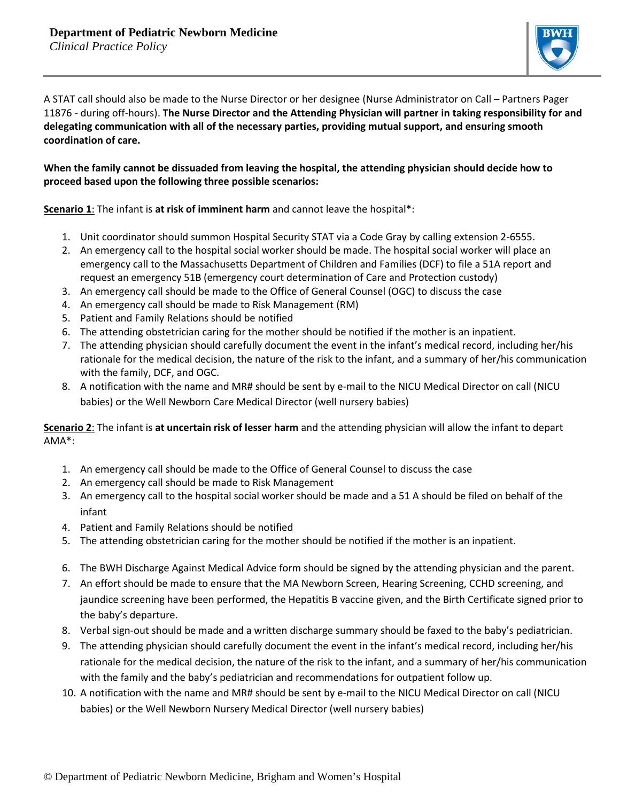

A STAT call should also be made to the Nurse Director or her designee (Nurse Administrator on Call – Partners Pager 11876 - during off-hours). **The Nurse Director and the Attending Physician will partner in taking responsibility for and delegating communication with all of the necessary parties, providing mutual support, and ensuring smooth coordination of care.**

### **When the family cannot be dissuaded from leaving the hospital, the attending physician should decide how to proceed based upon the following three possible scenarios:**

**Scenario 1**: The infant is **at risk of imminent harm** and cannot leave the hospital\*:

- 1. Unit coordinator should summon Hospital Security STAT via a Code Gray by calling extension 2-6555.
- 2. An emergency call to the hospital social worker should be made. The hospital social worker will place an emergency call to the Massachusetts Department of Children and Families (DCF) to file a 51A report and request an emergency 51B (emergency court determination of Care and Protection custody)
- 3. An emergency call should be made to the Office of General Counsel (OGC) to discuss the case
- 4. An emergency call should be made to Risk Management (RM)
- 5. Patient and Family Relations should be notified
- 6. The attending obstetrician caring for the mother should be notified if the mother is an inpatient.
- 7. The attending physician should carefully document the event in the infant's medical record, including her/his rationale for the medical decision, the nature of the risk to the infant, and a summary of her/his communication with the family, DCF, and OGC.
- 8. A notification with the name and MR# should be sent by e-mail to the NICU Medical Director on call (NICU babies) or the Well Newborn Care Medical Director (well nursery babies)

### **Scenario 2**: The infant is **at uncertain risk of lesser harm** and the attending physician will allow the infant to depart AMA\*:

- 1. An emergency call should be made to the Office of General Counsel to discuss the case
- 2. An emergency call should be made to Risk Management
- 3. An emergency call to the hospital social worker should be made and a 51 A should be filed on behalf of the infant
- 4. Patient and Family Relations should be notified
- 5. The attending obstetrician caring for the mother should be notified if the mother is an inpatient.
- 6. The BWH Discharge Against Medical Advice form should be signed by the attending physician and the parent.
- 7. An effort should be made to ensure that the MA Newborn Screen, Hearing Screening, CCHD screening, and jaundice screening have been performed, the Hepatitis B vaccine given, and the Birth Certificate signed prior to the baby's departure.
- 8. Verbal sign-out should be made and a written discharge summary should be faxed to the baby's pediatrician.
- 9. The attending physician should carefully document the event in the infant's medical record, including her/his rationale for the medical decision, the nature of the risk to the infant, and a summary of her/his communication with the family and the baby's pediatrician and recommendations for outpatient follow up.
- 10. A notification with the name and MR# should be sent by e-mail to the NICU Medical Director on call (NICU babies) or the Well Newborn Nursery Medical Director (well nursery babies)